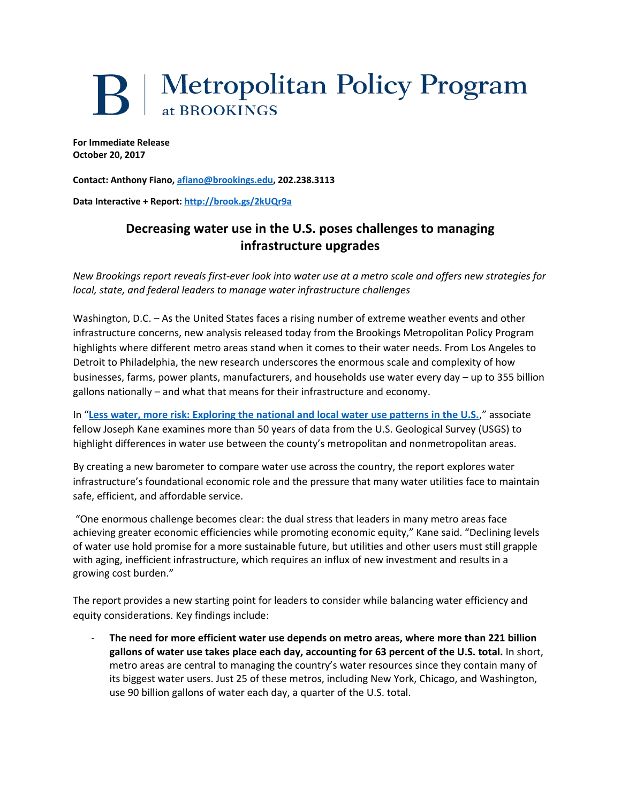## **B** Metropolitan Policy Program at BROOKINGS

**For Immediate Release October 20, 2017**

**Contact: Anthony Fiano[, afiano@brookings.edu,](mailto:afiano@brookings.edu) 202.238.3113**

**Data Interactive + Report:<http://brook.gs/2kUQr9a>** 

## **Decreasing water use in the U.S. poses challenges to managing infrastructure upgrades**

*New Brookings report reveals first-ever look into water use at a metro scale and offers new strategies for local, state, and federal leaders to manage water infrastructure challenges*

Washington, D.C. – As the United States faces a rising number of extreme weather events and other infrastructure concerns, new analysis released today from the Brookings Metropolitan Policy Program highlights where different metro areas stand when it comes to their water needs. From Los Angeles to Detroit to Philadelphia, the new research underscores the enormous scale and complexity of how businesses, farms, power plants, manufacturers, and households use water every day – up to 355 billion gallons nationally – and what that means for their infrastructure and economy.

In "**[Less water, more risk: Exploring the national and local water use patterns in the U.S.](http://brook.gs/2kUQr9a)**," associate fellow Joseph Kane examines more than 50 years of data from the U.S. Geological Survey (USGS) to highlight differences in water use between the county's metropolitan and nonmetropolitan areas.

By creating a new barometer to compare water use across the country, the report explores water infrastructure's foundational economic role and the pressure that many water utilities face to maintain safe, efficient, and affordable service.

"One enormous challenge becomes clear: the dual stress that leaders in many metro areas face achieving greater economic efficiencies while promoting economic equity," Kane said. "Declining levels of water use hold promise for a more sustainable future, but utilities and other users must still grapple with aging, inefficient infrastructure, which requires an influx of new investment and results in a growing cost burden."

The report provides a new starting point for leaders to consider while balancing water efficiency and equity considerations. Key findings include:

- **The need for more efficient water use depends on metro areas, where more than 221 billion gallons of water use takes place each day, accounting for 63 percent of the U.S. total.** In short, metro areas are central to managing the country's water resources since they contain many of its biggest water users. Just 25 of these metros, including New York, Chicago, and Washington, use 90 billion gallons of water each day, a quarter of the U.S. total.